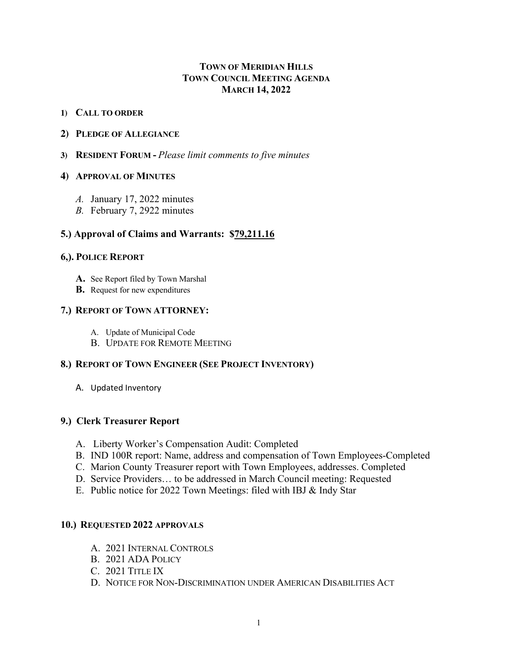# **TOWN OF MERIDIAN HILLS TOWN COUNCIL MEETING AGENDA MARCH 14, 2022**

### **1) CALL TO ORDER**

#### **2) PLEDGE OF ALLEGIANCE**

**3) RESIDENT FORUM -** *Please limit comments to five minutes*

#### **4) APPROVAL OF MINUTES**

- *A.* January 17, 2022 minutes
- *B.* February 7, 2922 minutes

## **5.) Approval of Claims and Warrants: \$79,211.16**

### **6,). POLICE REPORT**

- **A.** See Report filed by Town Marshal
- **B.** Request for new expenditures

### **7.) REPORT OF TOWN ATTORNEY:**

- A. Update of Municipal Code
- B. UPDATE FOR REMOTE MEETING

### **8.) REPORT OF TOWN ENGINEER (SEE PROJECT INVENTORY)**

A. Updated Inventory

### **9.) Clerk Treasurer Report**

- A. Liberty Worker's Compensation Audit: Completed
- B. IND 100R report: Name, address and compensation of Town Employees-Completed
- C. Marion County Treasurer report with Town Employees, addresses. Completed
- D. Service Providers… to be addressed in March Council meeting: Requested
- E. Public notice for 2022 Town Meetings: filed with IBJ & Indy Star

### **10.) REQUESTED 2022 APPROVALS**

- A. 2021 INTERNAL CONTROLS
- B. 2021 ADA POLICY
- C. 2021 TITLE IX
- D. NOTICE FOR NON-DISCRIMINATION UNDER AMERICAN DISABILITIES ACT